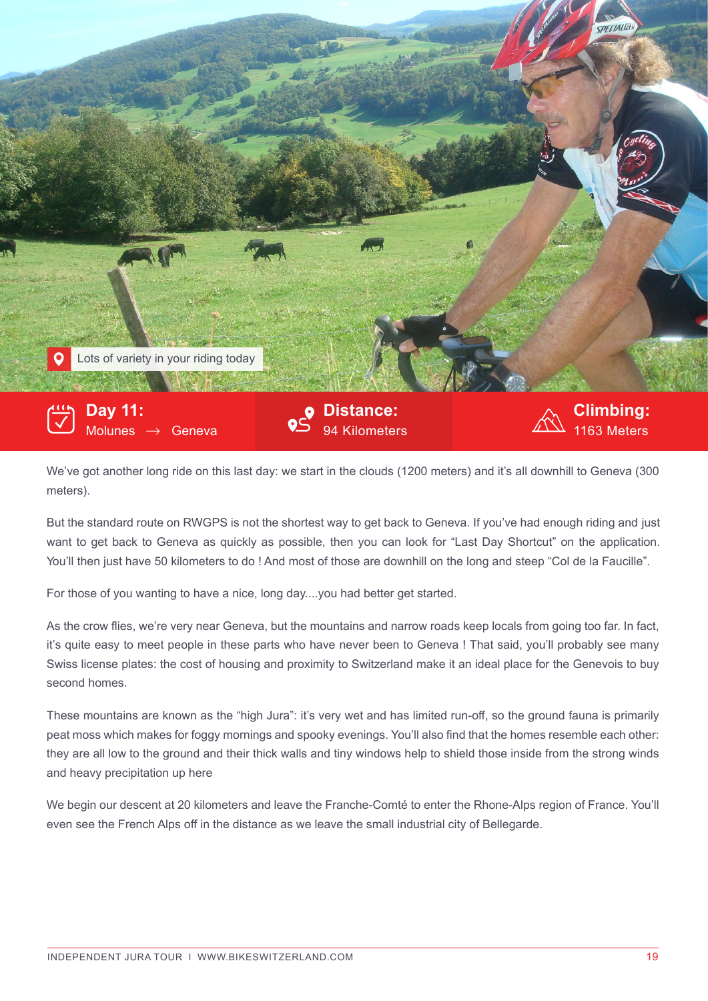

We've got another long ride on this last day: we start in the clouds (1200 meters) and it's all downhill to Geneva (300 meters).

But the standard route on RWGPS is not the shortest way to get back to Geneva. If you've had enough riding and just want to get back to Geneva as quickly as possible, then you can look for "Last Day Shortcut" on the application. You'll then just have 50 kilometers to do ! And most of those are downhill on the long and steep "Col de la Faucille".

For those of you wanting to have a nice, long day....you had better get started.

As the crow flies, we're very near Geneva, but the mountains and narrow roads keep locals from going too far. In fact, it's quite easy to meet people in these parts who have never been to Geneva ! That said, you'll probably see many Swiss license plates: the cost of housing and proximity to Switzerland make it an ideal place for the Genevois to buy second homes.

These mountains are known as the "high Jura": it's very wet and has limited run-off, so the ground fauna is primarily peat moss which makes for foggy mornings and spooky evenings. You'll also find that the homes resemble each other: they are all low to the ground and their thick walls and tiny windows help to shield those inside from the strong winds and heavy precipitation up here

We begin our descent at 20 kilometers and leave the Franche-Comté to enter the Rhone-Alps region of France. You'll even see the French Alps off in the distance as we leave the small industrial city of Bellegarde.